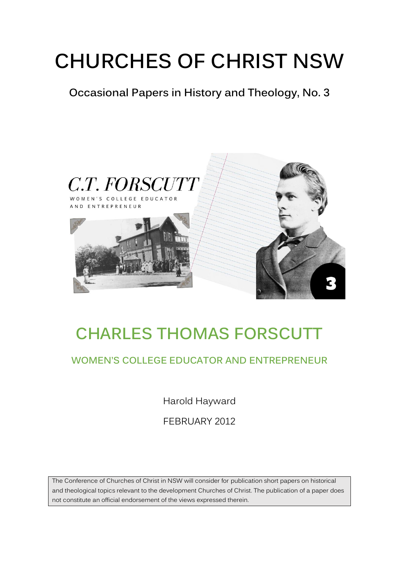# **CHURCHES OF CHRIST NSW**

**Occasional Papers in History and Theology, No. 3**



## **CHARLES THOMAS FORSCUTT**

#### **WOMEN'S COLLEGE EDUCATOR AND ENTREPRENEUR**

Harold Hayward

FEBRUARY 2012

The Conference of Churches of Christ in NSW will consider for publication short papers on historical and theological topics relevant to the development Churches of Christ. The publication of a paper does not constitute an official endorsement of the views expressed therein.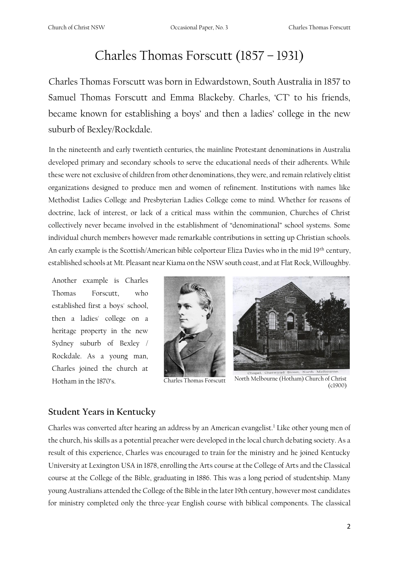### Charles Thomas Forscutt (1857 – 1931)

Charles Thomas Forscutt was born in Edwardstown, South Australia in 1857 to Samuel Thomas Forscutt and Emma Blackeby. Charles, 'CT' to his friends, became known for establishing a boys' and then a ladies' college in the new suburb of Bexley/Rockdale.

In the nineteenth and early twentieth centuries, the mainline Protestant denominations in Australia developed primary and secondary schools to serve the educational needs of their adherents. While these were not exclusive of children from other denominations, they were, and remain relatively elitist organizations designed to produce men and women of refinement. Institutions with names like Methodist Ladies College and Presbyterian Ladies College come to mind. Whether for reasons of doctrine, lack of interest, or lack of a critical mass within the communion, Churches of Christ collectively never became involved in the establishment of "denominational" school systems. Some individual church members however made remarkable contributions in setting up Christian schools. An early example is the Scottish/American bible colporteur Eliza Davies who in the mid 19<sup>th</sup> century, established schools at Mt. Pleasant near Kiama on the NSW south coast, and at Flat Rock, Willoughby.

Another example is Charles Thomas Forscutt, who established first a boys' school, then a ladies' college on a heritage property in the new Sydney suburb of Bexley / Rockdale. As a young man, Charles joined the church at







Hotham in the 1870's. Charles Thomas Forscutt North Melbourne (Hotham) Church of Christ (c1900)

#### **Student Years in Kentucky**

Charles was converted after hearing an address by an American evangelist.<sup>1</sup> Like other young men of the church, his skills as a potential preacher were developed in the local church debating society. As a result of this experience, Charles was encouraged to train for the ministry and he joined Kentucky University at Lexington USA in 1878, enrolling the Arts course at the College of Arts and the Classical course at the College of the Bible, graduating in 1886. This was a long period of studentship. Many young Australians attended the College of the Bible in the later 19th century, however most candidates for ministry completed only the three-year English course with biblical components. The classical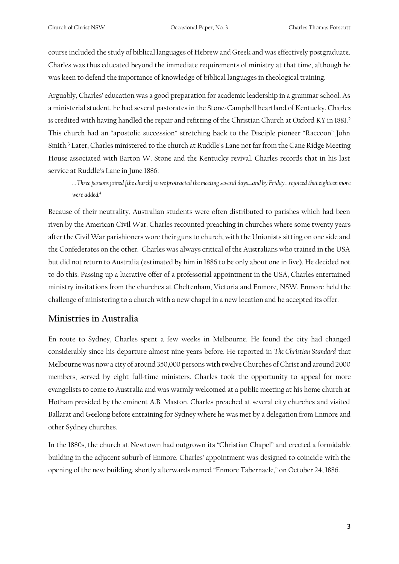course included the study of biblical languages of Hebrew and Greek and was effectively postgraduate. Charles was thus educated beyond the immediate requirements of ministry at that time, although he was keen to defend the importance of knowledge of biblical languages in theological training.

Arguably, Charles' education was a good preparation for academic leadership in a grammar school. As a ministerial student, he had several pastorates in the Stone-Campbell heartland of Kentucky. Charles is credited with having handled the repair and refitting of the Christian Church at Oxford KY in 1881.<sup>2</sup> This church had an "apostolic succession" stretching back to the Disciple pioneer "Raccoon" John Smith.<sup>3</sup> Later, Charles ministered to the church at Ruddle's Lane not far from the Cane Ridge Meeting House associated with Barton W. Stone and the Kentucky revival. Charles records that in his last service at Ruddle's Lane in June 1886:

*… Three persons joined [the church] so we protracted the meeting several days....and by Friday....rejoiced that eighteen more were added.<sup>4</sup>*

Because of their neutrality, Australian students were often distributed to parishes which had been riven by the American Civil War. Charles recounted preaching in churches where some twenty years after the Civil War parishioners wore their guns to church, with the Unionists sitting on one side and the Confederates on the other. Charles was always critical of the Australians who trained in the USA but did not return to Australia (estimated by him in 1886 to be only about one in five). He decided not to do this. Passing up a lucrative offer of a professorial appointment in the USA, Charles entertained ministry invitations from the churches at Cheltenham, Victoria and Enmore, NSW. Enmore held the challenge of ministering to a church with a new chapel in a new location and he accepted its offer.

#### **Ministries in Australia**

En route to Sydney, Charles spent a few weeks in Melbourne. He found the city had changed considerably since his departure almost nine years before. He reported in *The Christian Standard* that Melbourne was now a city of around 350,000 persons with twelve Churches of Christ and around 2000 members, served by eight full-time ministers. Charles took the opportunity to appeal for more evangelists to come to Australia and was warmly welcomed at a public meeting at his home church at Hotham presided by the eminent A.B. Maston. Charles preached at several city churches and visited Ballarat and Geelong before entraining for Sydney where he was met by a delegation from Enmore and other Sydney churches.

In the 1880s, the church at Newtown had outgrown its "Christian Chapel" and erected a formidable building in the adjacent suburb of Enmore. Charles' appointment was designed to coincide with the opening of the new building, shortly afterwards named "Enmore Tabernacle," on October 24, 1886.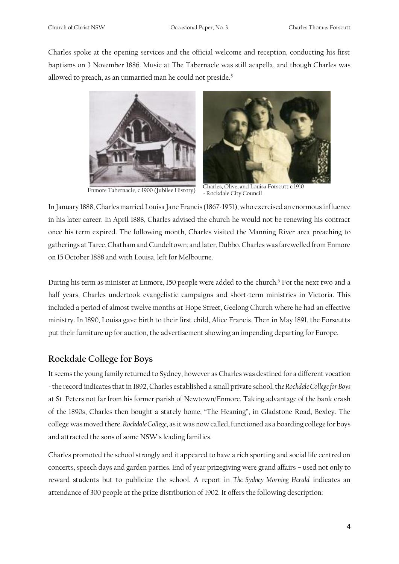Charles spoke at the opening services and the official welcome and reception, conducting his first baptisms on 3 November 1886. Music at The Tabernacle was still acapella, and though Charles was allowed to preach, as an unmarried man he could not preside.<sup>5</sup>





Enmore Tabernacle, c.1900 (Jubilee History) Charles, Olive, and Louisa Forscutt c.1910 - Rockdale City Council

In January 1888, Charles married Louisa Jane Francis (1867-1951), who exercised an enormous influence in his later career. In April 1888, Charles advised the church he would not be renewing his contract once his term expired. The following month, Charles visited the Manning River area preaching to gatherings at Taree, Chatham and Cundeltown; and later, Dubbo. Charles was farewelled from Enmore on 15 October 1888 and with Louisa, left for Melbourne.

During his term as minister at Enmore, 150 people were added to the church.<sup>6</sup> For the next two and a half years, Charles undertook evangelistic campaigns and short-term ministries in Victoria. This included a period of almost twelve months at Hope Street, Geelong Church where he had an effective ministry. In 1890, Louisa gave birth to their first child, Alice Francis. Then in May 1891, the Forscutts put their furniture up for auction, the advertisement showing an impending departing for Europe.

#### **Rockdale College for Boys**

It seems the young family returned to Sydney, however as Charles was destined for a different vocation - the record indicates that in 1892, Charles established a small private school, th*e Rockdale College for Boys* at St. Peters not far from his former parish of Newtown/Enmore. Taking advantage of the bank crash of the 1890s, Charles then bought a stately home, "The Heaning", in Gladstone Road, Bexley. The college was moved there.*Rockdale College*, as it was now called, functioned as a boarding college for boys and attracted the sons of some NSW's leading families.

Charles promoted the school strongly and it appeared to have a rich sporting and social life centred on concerts, speech days and garden parties. End of year prizegiving were grand affairs – used not only to reward students but to publicize the school. A report in *The Sydney Morning Herald* indicates an attendance of 300 people at the prize distribution of 1902. It offers the following description: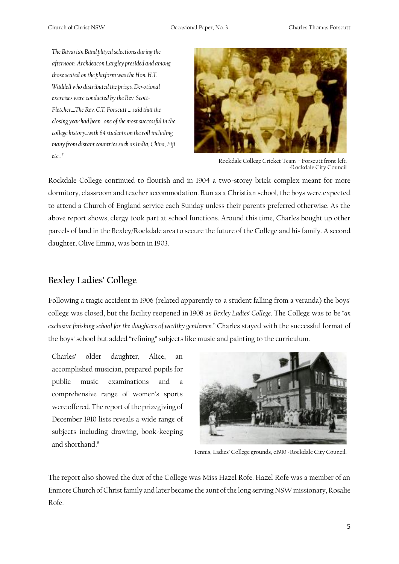Church of Christ NSW Occasional Paper, No. 3 Charles Thomas Forscutt

*The Bavarian Band played selections during the afternoon. Archdeacon Langley presided and among those seated on the platform was the Hon. H.T. Waddell who distributed the prizes. Devotional exercises were conducted by the Rev. Scott-Fletcher....The Rev. C.T. Forscutt … said that the closing year had been one of the most successful in the college history...with 84 students on the roll including many from distant countries such as India, China, Fiji etc...<sup>7</sup>*



Rockdale College Cricket Team – Forscutt front left. -Rockdale City Council

Rockdale College continued to flourish and in 1904 a two-storey brick complex meant for more dormitory, classroom and teacher accommodation. Run as a Christian school, the boys were expected to attend a Church of England service each Sunday unless their parents preferred otherwise. As the above report shows, clergy took part at school functions. Around this time, Charles bought up other parcels of land in the Bexley/Rockdale area to secure the future of the College and his family. A second daughter, Olive Emma, was born in 1903.

#### **Bexley Ladies' College**

Following a tragic accident in 1906 (related apparently to a student falling from a veranda) the boys' college was closed, but the facility reopened in 1908 as *Bexley Ladies' College*. The College was to be *"an exclusive finishing school for the daughters of wealthy gentlemen."* Charles stayed with the successful format of the boys' school but added "refining" subjects like music and painting to the curriculum.

Charles' older daughter, Alice, an accomplished musician, prepared pupils for public music examinations and a comprehensive range of women's sports were offered. The report of the prizegiving of December 1910 lists reveals a wide range of subjects including drawing, book-keeping and shorthand.<sup>8</sup>



Tennis, Ladies' College grounds, c1910 -Rockdale City Council.

The report also showed the dux of the College was Miss Hazel Rofe. Hazel Rofe was a member of an Enmore Church of Christ family and later became the aunt of the long serving NSW missionary, Rosalie Rofe.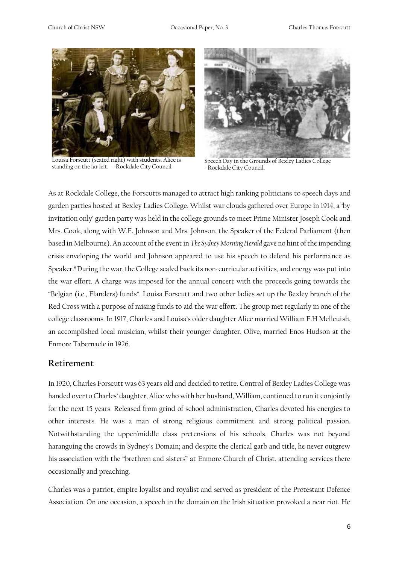

Louisa Forscutt (seated right) with students. Alice is standing on the far left. -Rockdale City Council.



Speech Day in the Grounds of Bexley Ladies College - Rockdale City Council.

As at Rockdale College, the Forscutts managed to attract high ranking politicians to speech days and garden parties hosted at Bexley Ladies College. Whilst war clouds gathered over Europe in 1914, a 'by invitation only' garden party was held in the college grounds to meet Prime Minister Joseph Cook and Mrs. Cook, along with W.E. Johnson and Mrs. Johnson, the Speaker of the Federal Parliament (then based in Melbourne). An account of the event in *The Sydney Morning Herald* gave no hint of the impending crisis enveloping the world and Johnson appeared to use his speech to defend his performance as Speaker.<sup>9</sup>During the war, the College scaled back its non-curricular activities, and energy was put into the war effort. A charge was imposed for the annual concert with the proceeds going towards the "Belgian (i.e., Flanders) funds". Louisa Forscutt and two other ladies set up the Bexley branch of the Red Cross with a purpose of raising funds to aid the war effort. The group met regularly in one of the college classrooms. In 1917, Charles and Louisa's older daughter Alice married William F.H Melleuish, an accomplished local musician, whilst their younger daughter, Olive, married Enos Hudson at the Enmore Tabernacle in 1926.

#### **Retirement**

In 1920, Charles Forscutt was 63 years old and decided to retire. Control of Bexley Ladies College was handed over to Charles' daughter, Alice who with her husband, William, continued to run it conjointly for the next 15 years. Released from grind of school administration, Charles devoted his energies to other interests. He was a man of strong religious commitment and strong political passion. Notwithstanding the upper/middle class pretensions of his schools, Charles was not beyond haranguing the crowds in Sydney's Domain; and despite the clerical garb and title, he never outgrew his association with the "brethren and sisters" at Enmore Church of Christ, attending services there occasionally and preaching.

Charles was a patriot, empire loyalist and royalist and served as president of the Protestant Defence Association. On one occasion, a speech in the domain on the Irish situation provoked a near riot. He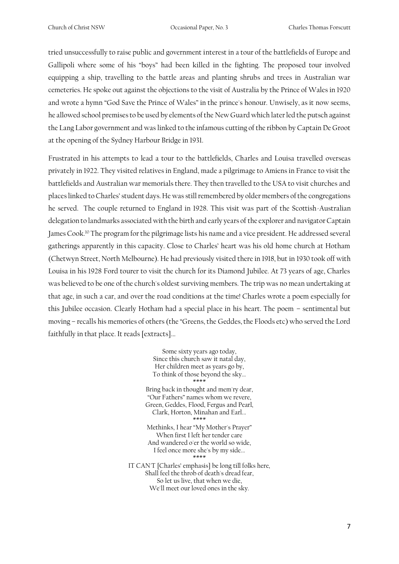tried unsuccessfully to raise public and government interest in a tour of the battlefields of Europe and Gallipoli where some of his "boys" had been killed in the fighting. The proposed tour involved equipping a ship, travelling to the battle areas and planting shrubs and trees in Australian war cemeteries. He spoke out against the objections to the visit of Australia by the Prince of Wales in 1920 and wrote a hymn "God Save the Prince of Wales" in the prince's honour. Unwisely, as it now seems, he allowed school premises to be used by elements of the New Guard which later led the putsch against the Lang Labor government and was linked to the infamous cutting of the ribbon by Captain De Groot at the opening of the Sydney Harbour Bridge in 1931.

Frustrated in his attempts to lead a tour to the battlefields, Charles and Louisa travelled overseas privately in 1922. They visited relatives in England, made a pilgrimage to Amiens in France to visit the battlefields and Australian war memorials there. They then travelled to the USA to visit churches and places linked to Charles' student days. He was still remembered by older members of the congregations he served. The couple returned to England in 1928. This visit was part of the Scottish-Australian delegation to landmarks associated with the birth and early years of the explorer and navigator Captain James Cook.<sup>10</sup> The program for the pilgrimage lists his name and a vice president. He addressed several gatherings apparently in this capacity. Close to Charles' heart was his old home church at Hotham (Chetwyn Street, North Melbourne). He had previously visited there in 1918, but in 1930 took off with Louisa in his 1928 Ford tourer to visit the church for its Diamond Jubilee. At 73 years of age, Charles was believed to be one of the church's oldest surviving members. The trip was no mean undertaking at that age, in such a car, and over the road conditions at the time! Charles wrote a poem especially for this Jubilee occasion. Clearly Hotham had a special place in his heart. The poem – sentimental but moving – recalls his memories of others (the "Greens, the Geddes, the Floods etc) who served the Lord faithfully in that place. It reads [extracts]...

> Some sixty years ago today, Since this church saw it natal day, Her children meet as years go by, To think of those beyond the sky... \*\*\*\* Bring back in thought and mem'ry dear, "Our Fathers" names whom we revere, Green, Geddes, Flood, Fergus and Pearl, Clark, Horton, Minahan and Earl... \*\*\*\* Methinks, I hear "My Mother's Prayer" When first I left her tender care And wandered o'er the world so wide, I feel once more she's by my side... \*\*\*\* IT CAN'T [Charles' emphasis] be long till folks here, Shall feel the throb of death's dread fear, So let us live, that when we die, We'll meet our loved ones in the sky.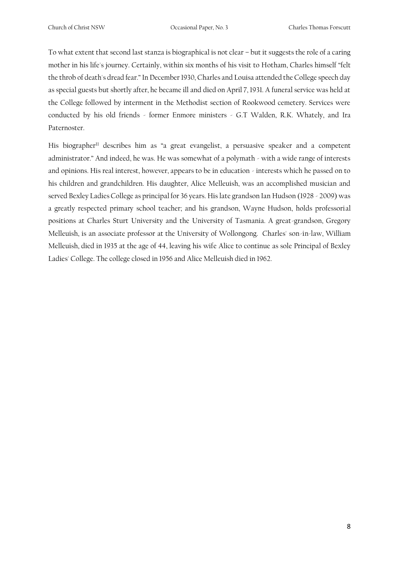To what extent that second last stanza is biographical is not clear – but it suggests the role of a caring mother in his life's journey. Certainly, within six months of his visit to Hotham, Charles himself "felt the throb of death's dread fear." In December 1930, Charles and Louisa attended the College speech day as special guests but shortly after, he became ill and died on April 7, 1931. A funeral service was held at the College followed by interment in the Methodist section of Rookwood cemetery. Services were conducted by his old friends - former Enmore ministers - G.T Walden, R.K. Whately, and Ira Paternoster.

His biographer<sup>11</sup> describes him as "a great evangelist, a persuasive speaker and a competent administrator." And indeed, he was. He was somewhat of a polymath - with a wide range of interests and opinions. His real interest, however, appears to be in education - interests which he passed on to his children and grandchildren. His daughter, Alice Melleuish, was an accomplished musician and served Bexley Ladies College as principal for 36 years. His late grandson Ian Hudson (1928 - 2009) was a greatly respected primary school teacher; and his grandson, Wayne Hudson, holds professorial positions at Charles Sturt University and the University of Tasmania. A great-grandson, Gregory Melleuish, is an associate professor at the University of Wollongong. Charles' son-in-law, William Melleuish, died in 1935 at the age of 44, leaving his wife Alice to continue as sole Principal of Bexley Ladies' College. The college closed in 1956 and Alice Melleuish died in 1962.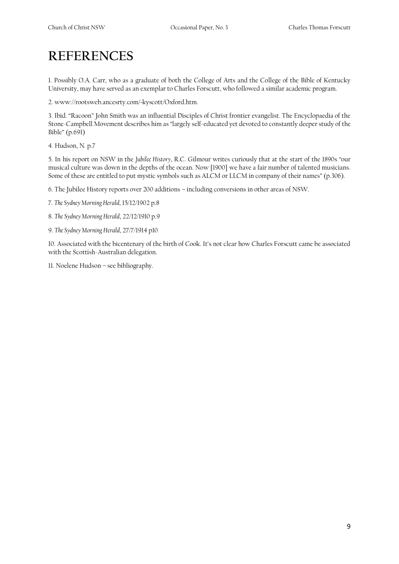## **REFERENCES**

1. Possibly O.A. Carr, who as a graduate of both the College of Arts and the College of the Bible of Kentucky University, may have served as an exemplar to Charles Forscutt, who followed a similar academic program.

2. www://rootsweb.ancesrty.com/~kyscott/Oxford.htm.

3. Ibid. "Racoon" John Smith was an influential Disciples of Christ frontier evangelist. The Encyclopaedia of the Stone-Campbell Movement describes him as "largely self-educated yet devoted to constantly deeper study of the Bible" (p.691)

4. Hudson, N. p.7

5. In his report on NSW in the *Jubilee History*, R.C. Gilmour writes curiously that at the start of the 1890s "our musical culture was down in the depths of the ocean. Now [1900] we have a fair number of talented musicians. Some of these are entitled to put mystic symbols such as ALCM or LLCM in company of their names" (p.306).

6. The Jubilee History reports over 200 additions – including conversions in other areas of NSW.

7. *The Sydney Morning Herald*, 15/12/1902 p.8

8. *The Sydney Morning Herald*, 22/12/1910 p.9

9. *The Sydney Morning Herald*, 27/7/1914 p10

10. Associated with the bicentenary of the birth of Cook. It's not clear how Charles Forscutt came be associated with the Scottish-Australian delegation.

11. Noelene Hudson – see bibliography.